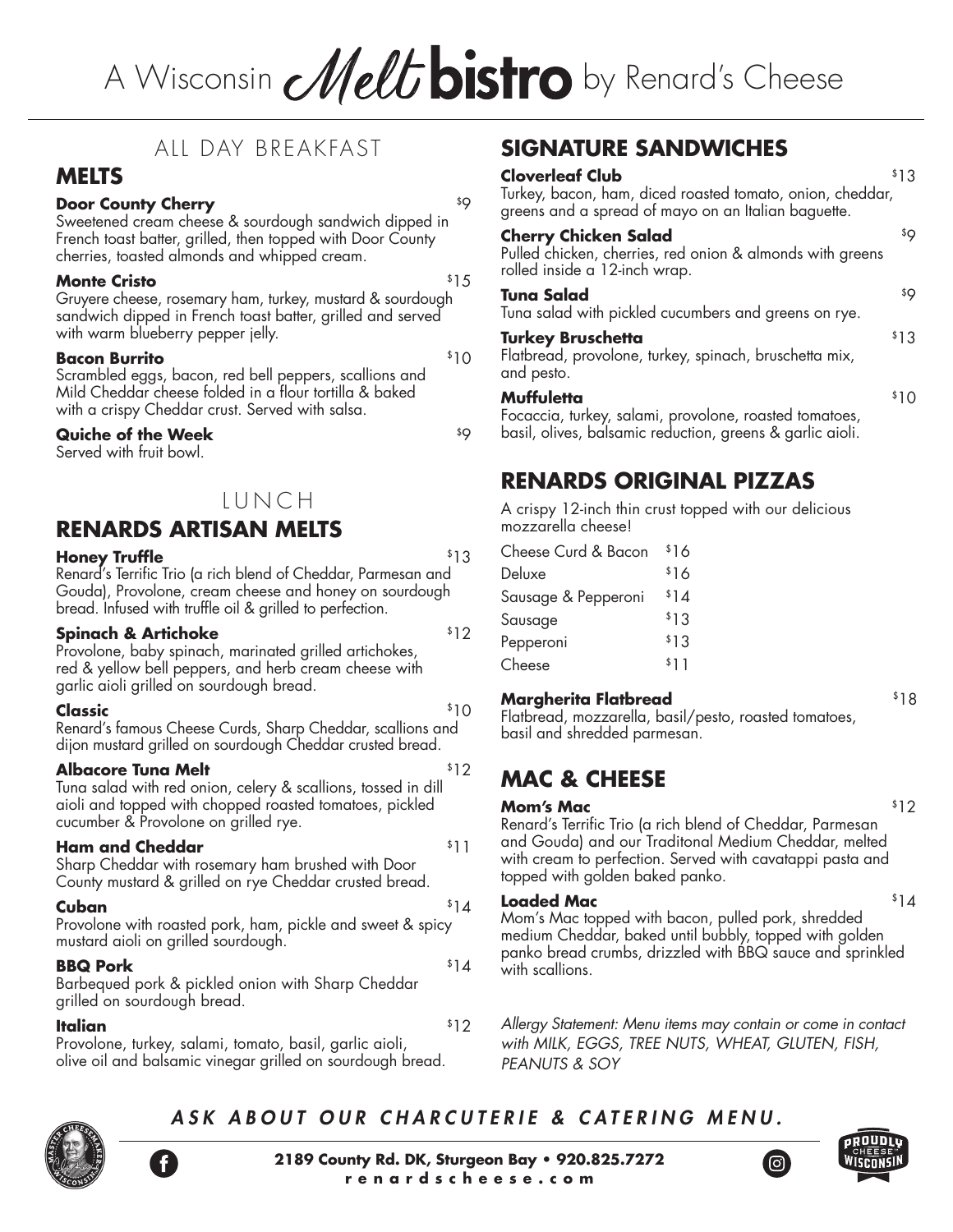# A Wisconsin **Melt bistro** by Renard's Cheese

# ALL DAY BREAKFAST

# **MELTS**

## **Door County Cherry**   ${}^{59}$

Sweetened cream cheese & sourdough sandwich dipped in French toast batter, grilled, then topped with Door County cherries, toasted almonds and whipped cream.

## **Monte Cristo by Security 15**

Gruyere cheese, rosemary ham, turkey, mustard & sourdough sandwich dipped in French toast batter, grilled and served with warm blueberry pepper jelly.

### **Bacon Burrito**  $$10$

Scrambled eggs, bacon, red bell peppers, scallions and Mild Cheddar cheese folded in a flour tortilla & baked with a crispy Cheddar crust. Served with salsa.

# **Quiche of the Week**   $^{59}$

Served with fruit bowl.

# LUNCH

# **RENARDS ARTISAN MELTS**

### **Honey Truffle**  $$13$

Renard's Terrific Trio (a rich blend of Cheddar, Parmesan and Gouda), Provolone, cream cheese and honey on sourdough bread. Infused with truffle oil & grilled to perfection.

# **Spinach & Artichoke**  $$12$

Provolone, baby spinach, marinated grilled artichokes, red & yellow bell peppers, and herb cream cheese with garlic aioli grilled on sourdough bread.

# **Classic**  ${}^{5}10$

Renard's famous Cheese Curds, Sharp Cheddar, scallions and dijon mustard grilled on sourdough Cheddar crusted bread.

# **Albacore Tuna Melt Albacore Tuna Melt**

Tuna salad with red onion, celery & scallions, tossed in dill aioli and topped with chopped roasted tomatoes, pickled cucumber & Provolone on grilled rye.

# **Ham and Cheddar**   $$11$

Sharp Cheddar with rosemary ham brushed with Door County mustard & grilled on rye Cheddar crusted bread.

# **Cuban** \$14

Provolone with roasted pork, ham, pickle and sweet & spicy mustard aioli on grilled sourdough.

### **BBQ Pork**  $$14$

Barbequed pork & pickled onion with Sharp Cheddar grilled on sourdough bread.

# **Italian**  $*12$

Provolone, turkey, salami, tomato, basil, garlic aioli, olive oil and balsamic vinegar grilled on sourdough bread.

# **SIGNATURE SANDWICHES**

### **Cloverleaf Club** \$13

Turkey, bacon, ham, diced roasted tomato, onion, cheddar, greens and a spread of mayo on an Italian baguette.

### **Cherry Chicken Salad** \$9

Pulled chicken, cherries, red onion & almonds with greens rolled inside a 12-inch wrap.

# **Tuna Salad** \$9

Tuna salad with pickled cucumbers and greens on rye.

### **Turkey Bruschetta 13**

Flatbread, provolone, turkey, spinach, bruschetta mix, and pesto.

### **Muffuletta** \$10

Focaccia, turkey, salami, provolone, roasted tomatoes, basil, olives, balsamic reduction, greens & garlic aioli.

# **RENARDS ORIGINAL PIZZAS**

A crispy 12-inch thin crust topped with our delicious mozzarella cheese!

| Cheese Curd & Bacon | \$16 |
|---------------------|------|
| Deluxe              | \$16 |
| Sausage & Pepperoni | \$14 |
| Sausage             | \$13 |
| Pepperoni           | \$13 |
| Cheese              | \$11 |

# **Margherita Flatbread** \$18

Flatbread, mozzarella, basil/pesto, roasted tomatoes, basil and shredded parmesan.

# **MAC & CHEESE**

### **Mom's Mac** \$12

Renard's Terrific Trio (a rich blend of Cheddar, Parmesan and Gouda) and our Traditonal Medium Cheddar, melted with cream to perfection. Served with cavatappi pasta and topped with golden baked panko.

# **Loaded Mac**  $$14$

Mom's Mac topped with bacon, pulled pork, shredded medium Cheddar, baked until bubbly, topped with golden panko bread crumbs, drizzled with BBQ sauce and sprinkled with scallions.

### *Allergy Statement: Menu items may contain or come in contact with MILK, EGGS, TREE NUTS, WHEAT, GLUTEN, FISH, PEANUTS & SOY*

# *ASK ABOUT OUR CHARCUTERIE & CATERING MENU.*





(ම